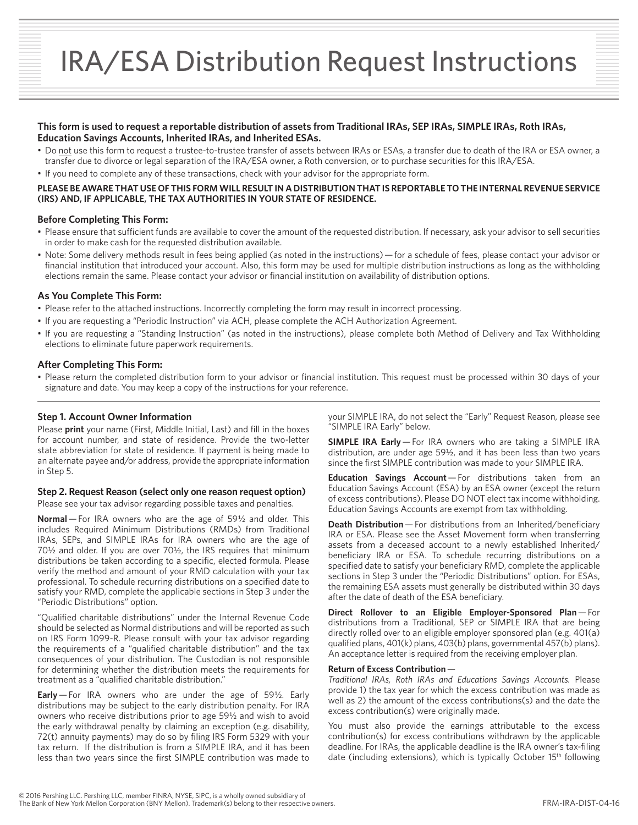# **This form is used to request a reportable distribution of assets from Traditional IRAs, SEP IRAs, SIMPLE IRAs, Roth IRAs, Education Savings Accounts, Inherited IRAs, and Inherited ESAs.**

- Do not use this form to request a trustee-to-trustee transfer of assets between IRAs or ESAs, a transfer due to death of the IRA or ESA owner, a transfer due to divorce or legal separation of the IRA/ESA owner, a Roth conversion, or to purchase securities for this IRA/ESA.
- If you need to complete any of these transactions, check with your advisor for the appropriate form.

## **PLEASE BE AWARE THAT USE OF THIS FORM WILL RESULT IN A DISTRIBUTION THAT IS REPORTABLE TO THE INTERNAL REVENUE SERVICE (IRS) AND, IF APPLICABLE, THE TAX AUTHORITIES IN YOUR STATE OF RESIDENCE.**

## **Before Completing This Form:**

- Please ensure that sufficient funds are available to cover the amount of the requested distribution. If necessary, ask your advisor to sell securities in order to make cash for the requested distribution available.
- Note: Some delivery methods result in fees being applied (as noted in the instructions) for a schedule of fees, please contact your advisor or financial institution that introduced your account. Also, this form may be used for multiple distribution instructions as long as the withholding elections remain the same. Please contact your advisor or financial institution on availability of distribution options.

### **As You Complete This Form:**

- Please refer to the attached instructions. Incorrectly completing the form may result in incorrect processing.
- If you are requesting a "Periodic Instruction" via ACH, please complete the ACH Authorization Agreement.
- If you are requesting a "Standing Instruction" (as noted in the instructions), please complete both Method of Delivery and Tax Withholding elections to eliminate future paperwork requirements.

### **After Completing This Form:**

• Please return the completed distribution form to your advisor or financial institution. This request must be processed within 30 days of your signature and date. You may keep a copy of the instructions for your reference.

## **Step 1. Account Owner Information**

Please **print** your name (First, Middle Initial, Last) and fill in the boxes for account number, and state of residence. Provide the two-letter state abbreviation for state of residence. If payment is being made to an alternate payee and/or address, provide the appropriate information in Step 5.

#### **Step 2. Request Reason (select only one reason request option)**

Please see your tax advisor regarding possible taxes and penalties.

**Normal**— For IRA owners who are the age of 59½ and older. This includes Required Minimum Distributions (RMDs) from Traditional IRAs, SEPs, and SIMPLE IRAs for IRA owners who are the age of 70½ and older. If you are over 70½, the IRS requires that minimum distributions be taken according to a specific, elected formula. Please verify the method and amount of your RMD calculation with your tax professional. To schedule recurring distributions on a specified date to satisfy your RMD, complete the applicable sections in Step 3 under the "Periodic Distributions" option.

"Qualified charitable distributions" under the Internal Revenue Code should be selected as Normal distributions and will be reported as such on IRS Form 1099-R. Please consult with your tax advisor regarding the requirements of a "qualified charitable distribution" and the tax consequences of your distribution. The Custodian is not responsible for determining whether the distribution meets the requirements for treatment as a "qualified charitable distribution."

**Early** — For IRA owners who are under the age of 59½. Early distributions may be subject to the early distribution penalty. For IRA owners who receive distributions prior to age 59½ and wish to avoid the early withdrawal penalty by claiming an exception (e.g. disability, 72(t) annuity payments) may do so by filing IRS Form 5329 with your tax return. If the distribution is from a SIMPLE IRA, and it has been less than two years since the first SIMPLE contribution was made to

your SIMPLE IRA, do not select the "Early" Request Reason, please see "SIMPLE IRA Early" below.

**SIMPLE IRA Early** — For IRA owners who are taking a SIMPLE IRA distribution, are under age 59½, and it has been less than two years since the first SIMPLE contribution was made to your SIMPLE IRA.

**Education Savings Account** — For distributions taken from an Education Savings Account (ESA) by an ESA owner (except the return of excess contributions). Please DO NOT elect tax income withholding. Education Savings Accounts are exempt from tax withholding.

**Death Distribution** – For distributions from an Inherited/beneficiary IRA or ESA. Please see the Asset Movement form when transferring assets from a deceased account to a newly established Inherited/ beneficiary IRA or ESA. To schedule recurring distributions on a specified date to satisfy your beneficiary RMD, complete the applicable sections in Step 3 under the "Periodic Distributions" option. For ESAs, the remaining ESA assets must generally be distributed within 30 days after the date of death of the ESA beneficiary.

**Direct Rollover to an Eligible Employer-Sponsored Plan**— For distributions from a Traditional, SEP or SIMPLE IRA that are being directly rolled over to an eligible employer sponsored plan (e.g. 401(a) qualified plans, 401(k) plans, 403(b) plans, governmental 457(b) plans). An acceptance letter is required from the receiving employer plan.

#### **Return of Excess Contribution** —

*Traditional IRAs, Roth IRAs and Educations Savings Accounts.* Please provide 1) the tax year for which the excess contribution was made as well as 2) the amount of the excess contributions(s) and the date the excess contribution(s) were originally made.

You must also provide the earnings attributable to the excess contribution(s) for excess contributions withdrawn by the applicable deadline. For IRAs, the applicable deadline is the IRA owner's tax-filing date (including extensions), which is typically October 15<sup>th</sup> following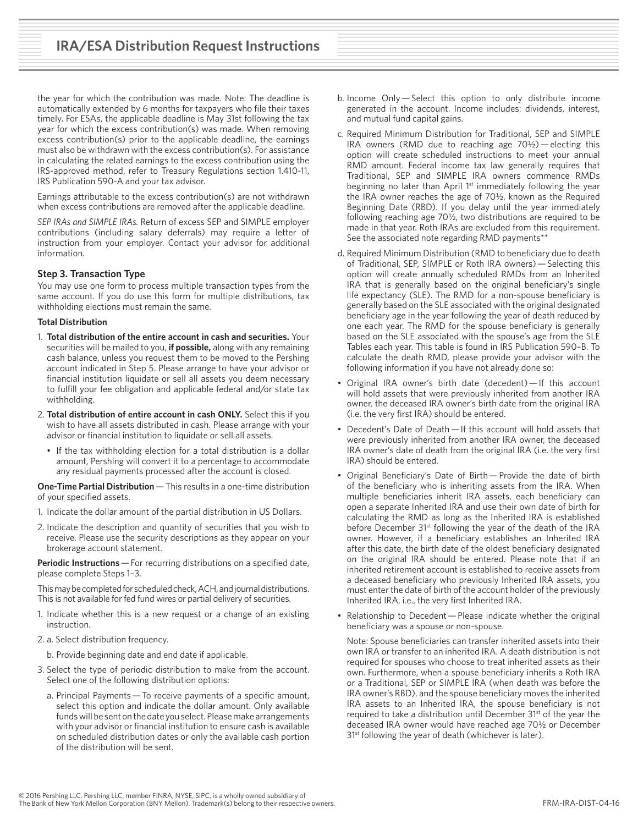the year for which the contribution was made. Note: The deadline is automatically extended by 6 months for taxpayers who file their taxes timely. For ESAs, the applicable deadline is May 31st following the tax year for which the excess contribution(s) was made. When removing excess contribution(s) prior to the applicable deadline, the earnings must also be withdrawn with the excess contribution(s). For assistance in calculating the related earnings to the excess contribution using the IRS-approved method, refer to Treasury Regulations section 1.410-11, IRS Publication 590-A and your tax advisor.

Earnings attributable to the excess contribution(s) are not withdrawn when excess contributions are removed after the applicable deadline.

*SEP IRAs and SIMPLE IRAs.* Return of excess SEP and SIMPLE employer contributions (including salary deferrals) may require a letter of instruction from your employer. Contact your advisor for additional information.

## **Step 3. Transaction Type**

You may use one form to process multiple transaction types from the same account. If you do use this form for multiple distributions, tax withholding elections must remain the same.

## **Total Distribution**

- 1. **Total distribution of the entire account in cash and securities.** Your securities will be mailed to you, **if possible,** along with any remaining cash balance, unless you request them to be moved to the Pershing account indicated in Step 5. Please arrange to have your advisor or financial institution liquidate or sell all assets you deem necessary to fulfill your fee obligation and applicable federal and/or state tax withholding.
- 2. **Total distribution of entire account in cash ONLY.** Select this if you wish to have all assets distributed in cash. Please arrange with your advisor or financial institution to liquidate or sell all assets.
	- If the tax withholding election for a total distribution is a dollar amount, Pershing will convert it to a percentage to accommodate any residual payments processed after the account is closed.

**One-Time Partial Distribution** — This results in a one-time distribution of your specified assets.

- 1. Indicate the dollar amount of the partial distribution in US Dollars.
- 2. Indicate the description and quantity of securities that you wish to receive. Please use the security descriptions as they appear on your brokerage account statement.

**Periodic Instructions** – For recurring distributions on a specified date, please complete Steps 1–3.

This may be completed for scheduled check, ACH, and journal distributions. This is not available for fed fund wires or partial delivery of securities.

- 1. Indicate whether this is a new request or a change of an existing instruction.
- 2. a. Select distribution frequency.
	- b. Provide beginning date and end date if applicable.
- 3. Select the type of periodic distribution to make from the account. Select one of the following distribution options:
	- a. Principal Payments — To receive payments of a specific amount, select this option and indicate the dollar amount. Only available funds will be sent on the date you select. Please make arrangements with your advisor or financial institution to ensure cash is available on scheduled distribution dates or only the available cash portion of the distribution will be sent.
- b. Income Only — Select this option to only distribute income generated in the account. Income includes: dividends, interest, and mutual fund capital gains.
- c. Required Minimum Distribution for Traditional, SEP and SIMPLE IRA owners (RMD due to reaching age  $70\frac{1}{2}$ ) — electing this option will create scheduled instructions to meet your annual RMD amount. Federal income tax law generally requires that Traditional, SEP and SIMPLE IRA owners commence RMDs beginning no later than April 1<sup>st</sup> immediately following the year the IRA owner reaches the age of 70½, known as the Required Beginning Date (RBD). If you delay until the year immediately following reaching age 70½, two distributions are required to be made in that year. Roth IRAs are excluded from this requirement. See the associated note regarding RMD payments\*\*
- d. Required Minimum Distribution (RMD to beneficiary due to death of Traditional, SEP, SIMPLE or Roth IRA owners) — Selecting this option will create annually scheduled RMDs from an Inherited IRA that is generally based on the original beneficiary's single life expectancy (SLE). The RMD for a non-spouse beneficiary is generally based on the SLE associated with the original designated beneficiary age in the year following the year of death reduced by one each year. The RMD for the spouse beneficiary is generally based on the SLE associated with the spouse's age from the SLE Tables each year. This table is found in IRS Publication 590–B. To calculate the death RMD, please provide your advisor with the following information if you have not already done so:
- Original IRA owner's birth date (decedent) — If this account will hold assets that were previously inherited from another IRA owner, the deceased IRA owner's birth date from the original IRA (i.e. the very first IRA) should be entered.
- Decedent's Date of Death — If this account will hold assets that were previously inherited from another IRA owner, the deceased IRA owner's date of death from the original IRA (i.e. the very first IRA) should be entered.
- Original Beneficiary's Date of Birth — Provide the date of birth of the beneficiary who is inheriting assets from the IRA. When multiple beneficiaries inherit IRA assets, each beneficiary can open a separate Inherited IRA and use their own date of birth for calculating the RMD as long as the Inherited IRA is established before December 31<sup>st</sup> following the year of the death of the IRA owner. However, if a beneficiary establishes an Inherited IRA after this date, the birth date of the oldest beneficiary designated on the original IRA should be entered. Please note that if an inherited retirement account is established to receive assets from a deceased beneficiary who previously Inherited IRA assets, you must enter the date of birth of the account holder of the previously Inherited IRA, i.e., the very first Inherited IRA.
- Relationship to Decedent — Please indicate whether the original beneficiary was a spouse or non-spouse.

Note: Spouse beneficiaries can transfer inherited assets into their own IRA or transfer to an inherited IRA. A death distribution is not required for spouses who choose to treat inherited assets as their own. Furthermore, when a spouse beneficiary inherits a Roth IRA or a Traditional, SEP or SIMPLE IRA (when death was before the IRA owner's RBD), and the spouse beneficiary moves the inherited IRA assets to an Inherited IRA, the spouse beneficiary is not required to take a distribution until December 31<sup>st</sup> of the year the deceased IRA owner would have reached age 70½ or December 31<sup>st</sup> following the year of death (whichever is later).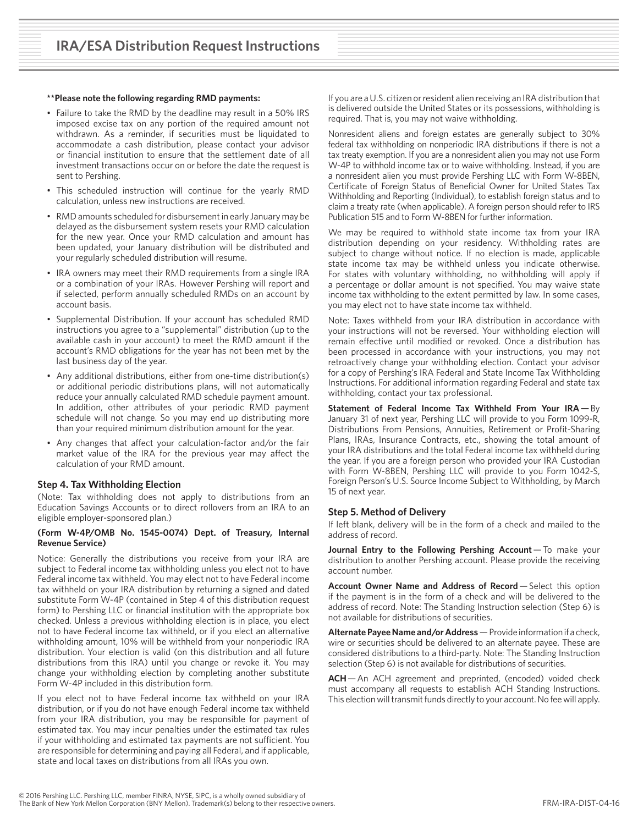#### **\*\*Please note the following regarding RMD payments:**

- Failure to take the RMD by the deadline may result in a 50% IRS imposed excise tax on any portion of the required amount not withdrawn. As a reminder, if securities must be liquidated to accommodate a cash distribution, please contact your advisor or financial institution to ensure that the settlement date of all investment transactions occur on or before the date the request is sent to Pershing.
- This scheduled instruction will continue for the yearly RMD calculation, unless new instructions are received.
- RMD amounts scheduled for disbursement in early January may be delayed as the disbursement system resets your RMD calculation for the new year. Once your RMD calculation and amount has been updated, your January distribution will be distributed and your regularly scheduled distribution will resume.
- IRA owners may meet their RMD requirements from a single IRA or a combination of your IRAs. However Pershing will report and if selected, perform annually scheduled RMDs on an account by account basis.
- Supplemental Distribution. If your account has scheduled RMD instructions you agree to a "supplemental" distribution (up to the available cash in your account) to meet the RMD amount if the account's RMD obligations for the year has not been met by the last business day of the year.
- Any additional distributions, either from one-time distribution(s) or additional periodic distributions plans, will not automatically reduce your annually calculated RMD schedule payment amount. In addition, other attributes of your periodic RMD payment schedule will not change. So you may end up distributing more than your required minimum distribution amount for the year.
- Any changes that affect your calculation-factor and/or the fair market value of the IRA for the previous year may affect the calculation of your RMD amount.

#### **Step 4. Tax Withholding Election**

(Note: Tax withholding does not apply to distributions from an Education Savings Accounts or to direct rollovers from an IRA to an eligible employer-sponsored plan.)

### **(Form W-4P/OMB No. 1545-0074) Dept. of Treasury, Internal Revenue Service)**

Notice: Generally the distributions you receive from your IRA are subject to Federal income tax withholding unless you elect not to have Federal income tax withheld. You may elect not to have Federal income tax withheld on your IRA distribution by returning a signed and dated substitute Form W-4P (contained in Step 4 of this distribution request form) to Pershing LLC or financial institution with the appropriate box checked. Unless a previous withholding election is in place, you elect not to have Federal income tax withheld, or if you elect an alternative withholding amount, 10% will be withheld from your nonperiodic IRA distribution. Your election is valid (on this distribution and all future distributions from this IRA) until you change or revoke it. You may change your withholding election by completing another substitute Form W-4P included in this distribution form.

If you elect not to have Federal income tax withheld on your IRA distribution, or if you do not have enough Federal income tax withheld from your IRA distribution, you may be responsible for payment of estimated tax. You may incur penalties under the estimated tax rules if your withholding and estimated tax payments are not sufficient. You are responsible for determining and paying all Federal, and if applicable, state and local taxes on distributions from all IRAs you own.

If you are a U.S. citizen or resident alien receiving an IRA distribution that is delivered outside the United States or its possessions, withholding is required. That is, you may not waive withholding.

Nonresident aliens and foreign estates are generally subject to 30% federal tax withholding on nonperiodic IRA distributions if there is not a tax treaty exemption. If you are a nonresident alien you may not use Form W-4P to withhold income tax or to waive withholding. Instead, if you are a nonresident alien you must provide Pershing LLC with Form W-8BEN, Certificate of Foreign Status of Beneficial Owner for United States Tax Withholding and Reporting (Individual), to establish foreign status and to claim a treaty rate (when applicable). A foreign person should refer to IRS Publication 515 and to Form W-8BEN for further information.

We may be required to withhold state income tax from your IRA distribution depending on your residency. Withholding rates are subject to change without notice. If no election is made, applicable state income tax may be withheld unless you indicate otherwise. For states with voluntary withholding, no withholding will apply if a percentage or dollar amount is not specified. You may waive state income tax withholding to the extent permitted by law. In some cases, you may elect not to have state income tax withheld.

Note: Taxes withheld from your IRA distribution in accordance with your instructions will not be reversed. Your withholding election will remain effective until modified or revoked. Once a distribution has been processed in accordance with your instructions, you may not retroactively change your withholding election. Contact your advisor for a copy of Pershing's IRA Federal and State Income Tax Withholding Instructions. For additional information regarding Federal and state tax withholding, contact your tax professional.

**Statement of Federal Income Tax Withheld From Your IRA —** By January 31 of next year, Pershing LLC will provide to you Form 1099-R, Distributions From Pensions, Annuities, Retirement or Profit-Sharing Plans, IRAs, Insurance Contracts, etc., showing the total amount of your IRA distributions and the total Federal income tax withheld during the year. If you are a foreign person who provided your IRA Custodian with Form W-8BEN, Pershing LLC will provide to you Form 1042-S, Foreign Person's U.S. Source Income Subject to Withholding, by March 15 of next year.

#### **Step 5. Method of Delivery**

If left blank, delivery will be in the form of a check and mailed to the address of record.

**Journal Entry to the Following Pershing Account** - To make your distribution to another Pershing account. Please provide the receiving account number.

**Account Owner Name and Address of Record** — Select this option if the payment is in the form of a check and will be delivered to the address of record. Note: The Standing Instruction selection (Step 6) is not available for distributions of securities.

**Alternate Payee Name and/or Address** — Provide information if a check, wire or securities should be delivered to an alternate payee. These are considered distributions to a third-party. Note: The Standing Instruction selection (Step 6) is not available for distributions of securities.

**ACH**— An ACH agreement and preprinted, (encoded) voided check must accompany all requests to establish ACH Standing Instructions. This election will transmit funds directly to your account. No fee will apply.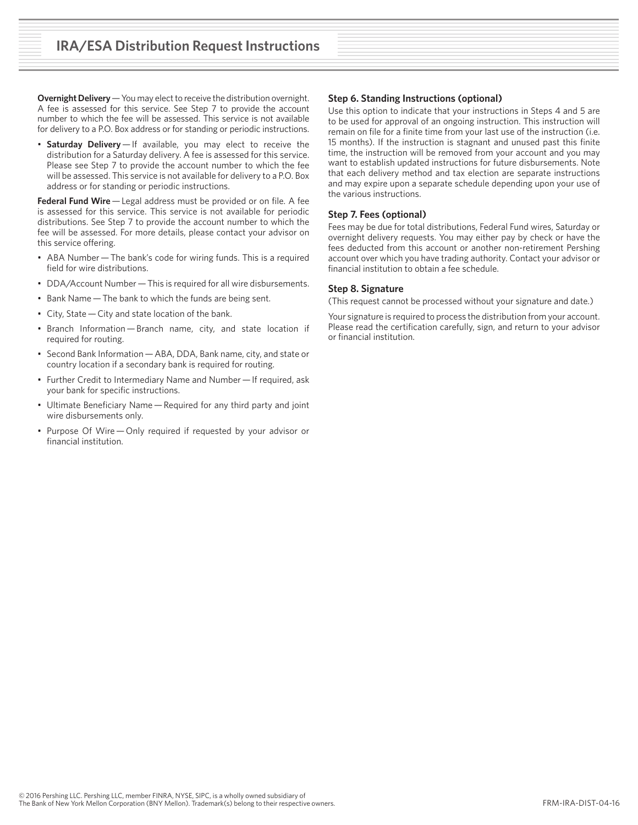**Overnight Delivery** — You may elect to receive the distribution overnight. A fee is assessed for this service. See Step 7 to provide the account number to which the fee will be assessed. This service is not available for delivery to a P.O. Box address or for standing or periodic instructions.

• **Saturday Delivery** — If available, you may elect to receive the distribution for a Saturday delivery. A fee is assessed for this service. Please see Step 7 to provide the account number to which the fee will be assessed. This service is not available for delivery to a P.O. Box address or for standing or periodic instructions.

**Federal Fund Wire** — Legal address must be provided or on file. A fee is assessed for this service. This service is not available for periodic distributions. See Step 7 to provide the account number to which the fee will be assessed. For more details, please contact your advisor on this service offering.

- ABA Number The bank's code for wiring funds. This is a required field for wire distributions.
- DDA/Account Number This is required for all wire disbursements.
- Bank Name — The bank to which the funds are being sent.
- City, State — City and state location of the bank.
- Branch Information — Branch name, city, and state location if required for routing.
- Second Bank Information — ABA, DDA, Bank name, city, and state or country location if a secondary bank is required for routing.
- Further Credit to Intermediary Name and Number — If required, ask your bank for specific instructions.
- Ultimate Beneficiary Name — Required for any third party and joint wire disbursements only.
- Purpose Of Wire — Only required if requested by your advisor or financial institution.

### **Step 6. Standing Instructions (optional)**

Use this option to indicate that your instructions in Steps 4 and 5 are to be used for approval of an ongoing instruction. This instruction will remain on file for a finite time from your last use of the instruction (i.e. 15 months). If the instruction is stagnant and unused past this finite time, the instruction will be removed from your account and you may want to establish updated instructions for future disbursements. Note that each delivery method and tax election are separate instructions and may expire upon a separate schedule depending upon your use of the various instructions.

### **Step 7. Fees (optional)**

Fees may be due for total distributions, Federal Fund wires, Saturday or overnight delivery requests. You may either pay by check or have the fees deducted from this account or another non-retirement Pershing account over which you have trading authority. Contact your advisor or financial institution to obtain a fee schedule.

### **Step 8. Signature**

(This request cannot be processed without your signature and date.)

Your signature is required to process the distribution from your account. Please read the certification carefully, sign, and return to your advisor or financial institution.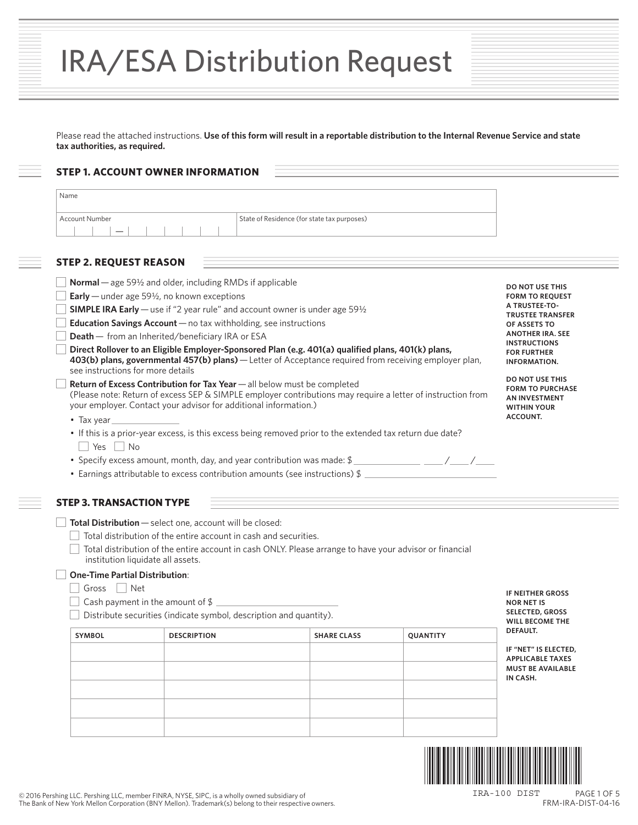|  | <b>IRA/ESA Distribution Request</b> |  |
|--|-------------------------------------|--|
|--|-------------------------------------|--|

Please read the attached instructions. **Use of this form will result in a reportable distribution to the Internal Revenue Service and state tax authorities, as required.**

# **STEP 1. ACCOUNT OWNER INFORMATION**

| Account Number                                                                                                                                                                                                                                                                                                                                                                                                                          | State of Residence (for state tax purposes)                                                                                                                                                                                                                                                                                                                                                                                                                                                                                                                                                                           |                                                                                                                                                                                                                                                                                                                            |
|-----------------------------------------------------------------------------------------------------------------------------------------------------------------------------------------------------------------------------------------------------------------------------------------------------------------------------------------------------------------------------------------------------------------------------------------|-----------------------------------------------------------------------------------------------------------------------------------------------------------------------------------------------------------------------------------------------------------------------------------------------------------------------------------------------------------------------------------------------------------------------------------------------------------------------------------------------------------------------------------------------------------------------------------------------------------------------|----------------------------------------------------------------------------------------------------------------------------------------------------------------------------------------------------------------------------------------------------------------------------------------------------------------------------|
| <b>STEP 2. REQUEST REASON</b>                                                                                                                                                                                                                                                                                                                                                                                                           |                                                                                                                                                                                                                                                                                                                                                                                                                                                                                                                                                                                                                       |                                                                                                                                                                                                                                                                                                                            |
| <b>Normal</b> — age 59 $\frac{1}{2}$ and older, including RMDs if applicable<br><b>Early</b> — under age 59 $\frac{1}{2}$ , no known exceptions<br><b>Education Savings Account</b> $-$ no tax withholding, see instructions<br><b>Death</b> - from an Inherited/beneficiary IRA or ESA<br>see instructions for more details<br>your employer. Contact your advisor for additional information.)<br>$\bullet$ Tax year<br>$Yes \mid No$ | <b>SIMPLE IRA Early</b> — use if "2 year rule" and account owner is under age $59\frac{1}{2}$<br>Direct Rollover to an Eligible Employer-Sponsored Plan (e.g. 401(a) qualified plans, 401(k) plans,<br>403(b) plans, governmental 457(b) plans) - Letter of Acceptance required from receiving employer plan,<br>Return of Excess Contribution for Tax Year - all below must be completed<br>(Please note: Return of excess SEP & SIMPLE employer contributions may require a letter of instruction from<br>• If this is a prior-year excess, is this excess being removed prior to the extended tax return due date? | <b>DO NOT USE THIS</b><br><b>FORM TO REOUEST</b><br>A TRUSTEE-TO-<br><b>TRUSTEE TRANSFER</b><br>OF ASSETS TO<br><b>ANOTHER IRA. SEE</b><br><b>INSTRUCTIONS</b><br><b>FOR FURTHER</b><br><b>INFORMATION.</b><br><b>DO NOT USE THIS</b><br><b>FORM TO PURCHASE</b><br><b>AN INVESTMENT</b><br><b>WITHIN YOUR</b><br>ACCOUNT. |
|                                                                                                                                                                                                                                                                                                                                                                                                                                         | • Earnings attributable to excess contribution amounts (see instructions) \$                                                                                                                                                                                                                                                                                                                                                                                                                                                                                                                                          |                                                                                                                                                                                                                                                                                                                            |

**Total Distribution** — select one, account will be closed:

 $\Box$  Total distribution of the entire account in cash and securities.

 Total distribution of the entire account in cash ONLY. Please arrange to have your advisor or financial institution liquidate all assets.

# **One-Time Partial Distribution**:

- $\Box$  Gross  $\Box$  Net
- $\Box$  Cash payment in the amount of \$

Distribute securities (indicate symbol, description and quantity).

| <b>SYMBOL</b> | <b>DESCRIPTION</b> | <b>SHARE CLASS</b> | QUANTITY |
|---------------|--------------------|--------------------|----------|
|               |                    |                    |          |
|               |                    |                    |          |
|               |                    |                    |          |
|               |                    |                    |          |
|               |                    |                    |          |
|               |                    |                    |          |

**IF NEITHER GROSS NOR NET IS SELECTED, GROSS WILL BECOME THE DEFAULT.** 

**IF "NET" IS ELECTED, APPLICABLE TAXES MUST BE AVAILABLE IN CASH.**



PAGE 1 OF 5 FRM-IRA-DIST-04-16 IRA-100 DIST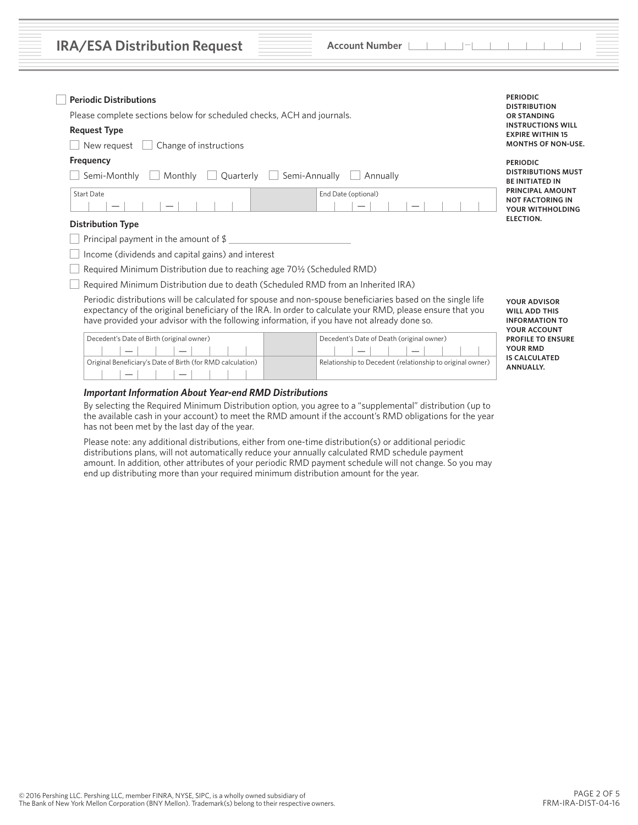| <b>IRA/ESA Distribution Request</b> |  |  |  |  |  |  |  |
|-------------------------------------|--|--|--|--|--|--|--|
|-------------------------------------|--|--|--|--|--|--|--|

**Account Number Account Number —** 

| <b>Request Type</b><br><b>MONTHS OF NON-USE.</b><br>Change of instructions<br>New reauest<br>Frequency<br><b>PERIODIC</b><br>Quarterly<br>Semi-Annually<br>Semi-Monthly<br>Monthly<br>Annually<br><b>BE INITIATED IN</b><br>End Date (optional)<br>Start Date<br>ELECTION.<br><b>Distribution Type</b><br>Principal payment in the amount of $\frac{1}{2}$<br>Income (dividends and capital gains) and interest<br>Required Minimum Distribution due to reaching age 70 <sup>1</sup> / <sub>2</sub> (Scheduled RMD)<br>Required Minimum Distribution due to death (Scheduled RMD from an Inherited IRA)<br>Periodic distributions will be calculated for spouse and non-spouse beneficiaries based on the single life<br><b>YOUR ADVISOR</b><br>expectancy of the original beneficiary of the IRA. In order to calculate your RMD, please ensure that you<br><b>WILL ADD THIS</b><br>have provided your advisor with the following information, if you have not already done so.<br>YOUR ACCOUNT<br>Decedent's Date of Birth (original owner)<br>Decedent's Date of Death (original owner)<br><b>YOUR RMD</b><br><b>IS CALCULATED</b><br>Original Beneficiary's Date of Birth (for RMD calculation)<br>Relationship to Decedent (relationship to original owner)<br><b>ANNUALLY.</b> | <b>Periodic Distributions</b><br>Please complete sections below for scheduled checks, ACH and journals. | <b>DISTRIBUTION</b><br><b>OR STANDING</b><br><b>INSTRUCTIONS WILL</b>  |
|--------------------------------------------------------------------------------------------------------------------------------------------------------------------------------------------------------------------------------------------------------------------------------------------------------------------------------------------------------------------------------------------------------------------------------------------------------------------------------------------------------------------------------------------------------------------------------------------------------------------------------------------------------------------------------------------------------------------------------------------------------------------------------------------------------------------------------------------------------------------------------------------------------------------------------------------------------------------------------------------------------------------------------------------------------------------------------------------------------------------------------------------------------------------------------------------------------------------------------------------------------------------------------------|---------------------------------------------------------------------------------------------------------|------------------------------------------------------------------------|
|                                                                                                                                                                                                                                                                                                                                                                                                                                                                                                                                                                                                                                                                                                                                                                                                                                                                                                                                                                                                                                                                                                                                                                                                                                                                                      |                                                                                                         | <b>EXPIRE WITHIN 15</b>                                                |
|                                                                                                                                                                                                                                                                                                                                                                                                                                                                                                                                                                                                                                                                                                                                                                                                                                                                                                                                                                                                                                                                                                                                                                                                                                                                                      |                                                                                                         |                                                                        |
|                                                                                                                                                                                                                                                                                                                                                                                                                                                                                                                                                                                                                                                                                                                                                                                                                                                                                                                                                                                                                                                                                                                                                                                                                                                                                      |                                                                                                         |                                                                        |
|                                                                                                                                                                                                                                                                                                                                                                                                                                                                                                                                                                                                                                                                                                                                                                                                                                                                                                                                                                                                                                                                                                                                                                                                                                                                                      |                                                                                                         | <b>DISTRIBUTIONS MUST</b>                                              |
|                                                                                                                                                                                                                                                                                                                                                                                                                                                                                                                                                                                                                                                                                                                                                                                                                                                                                                                                                                                                                                                                                                                                                                                                                                                                                      |                                                                                                         | <b>PRINCIPAL AMOUNT</b><br><b>NOT FACTORING IN</b><br>YOUR WITHHOLDING |
|                                                                                                                                                                                                                                                                                                                                                                                                                                                                                                                                                                                                                                                                                                                                                                                                                                                                                                                                                                                                                                                                                                                                                                                                                                                                                      |                                                                                                         |                                                                        |
|                                                                                                                                                                                                                                                                                                                                                                                                                                                                                                                                                                                                                                                                                                                                                                                                                                                                                                                                                                                                                                                                                                                                                                                                                                                                                      |                                                                                                         |                                                                        |
|                                                                                                                                                                                                                                                                                                                                                                                                                                                                                                                                                                                                                                                                                                                                                                                                                                                                                                                                                                                                                                                                                                                                                                                                                                                                                      |                                                                                                         |                                                                        |
|                                                                                                                                                                                                                                                                                                                                                                                                                                                                                                                                                                                                                                                                                                                                                                                                                                                                                                                                                                                                                                                                                                                                                                                                                                                                                      |                                                                                                         |                                                                        |
|                                                                                                                                                                                                                                                                                                                                                                                                                                                                                                                                                                                                                                                                                                                                                                                                                                                                                                                                                                                                                                                                                                                                                                                                                                                                                      |                                                                                                         |                                                                        |
|                                                                                                                                                                                                                                                                                                                                                                                                                                                                                                                                                                                                                                                                                                                                                                                                                                                                                                                                                                                                                                                                                                                                                                                                                                                                                      |                                                                                                         | <b>INFORMATION TO</b>                                                  |
|                                                                                                                                                                                                                                                                                                                                                                                                                                                                                                                                                                                                                                                                                                                                                                                                                                                                                                                                                                                                                                                                                                                                                                                                                                                                                      |                                                                                                         | <b>PROFILE TO ENSURE</b>                                               |
|                                                                                                                                                                                                                                                                                                                                                                                                                                                                                                                                                                                                                                                                                                                                                                                                                                                                                                                                                                                                                                                                                                                                                                                                                                                                                      |                                                                                                         |                                                                        |
|                                                                                                                                                                                                                                                                                                                                                                                                                                                                                                                                                                                                                                                                                                                                                                                                                                                                                                                                                                                                                                                                                                                                                                                                                                                                                      |                                                                                                         |                                                                        |

# *Important Information About Year-end RMD Distributions*

 By selecting the Required Minimum Distribution option, you agree to a "supplemental" distribution (up to the available cash in your account) to meet the RMD amount if the account's RMD obligations for the year has not been met by the last day of the year.

 Please note: any additional distributions, either from one-time distribution(s) or additional periodic distributions plans, will not automatically reduce your annually calculated RMD schedule payment amount. In addition, other attributes of your periodic RMD payment schedule will not change. So you may end up distributing more than your required minimum distribution amount for the year.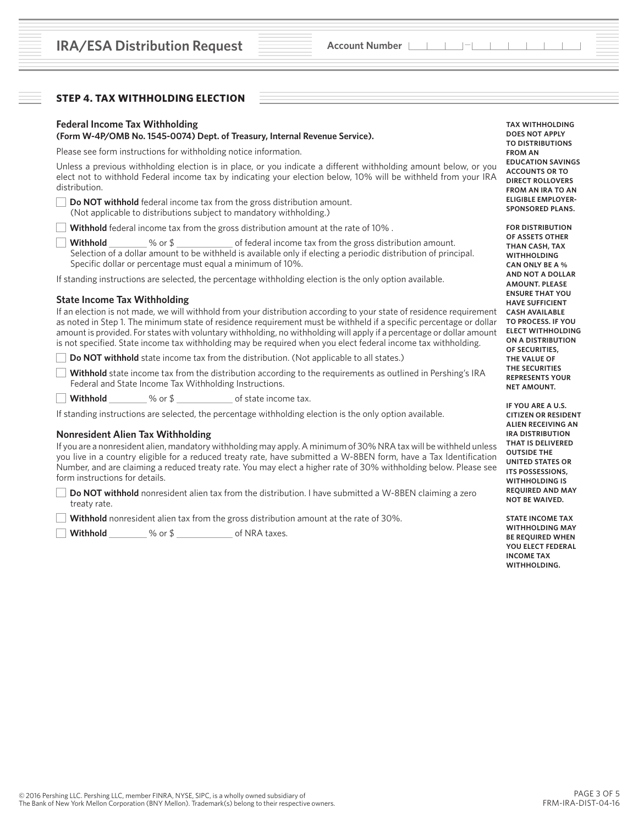# **STEP 4. TAX WITHHOLDING ELECTION**

# **Federal Income Tax Withholding**

#### **(Form W-4P/OMB No. 1545-0074) Dept. of Treasury, Internal Revenue Service).**

Please see form instructions for withholding notice information.

Unless a previous withholding election is in place, or you indicate a different withholding amount below, or you elect not to withhold Federal income tax by indicating your election below, 10% will be withheld from your IRA distribution.

**Do NOT withhold** federal income tax from the gross distribution amount. (Not applicable to distributions subject to mandatory withholding.)

**Withhold** federal income tax from the gross distribution amount at the rate of 10%.

**Withhold** % or \$ of federal income tax from the gross distribution amount. Selection of a dollar amount to be withheld is available only if electing a periodic distribution of principal. Specific dollar or percentage must equal a minimum of 10%.

If standing instructions are selected, the percentage withholding election is the only option available.

#### **State Income Tax Withholding**

If an election is not made, we will withhold from your distribution according to your state of residence requirement as noted in Step 1. The minimum state of residence requirement must be withheld if a specific percentage or dollar amount is provided. For states with voluntary withholding, no withholding will apply if a percentage or dollar amount is not specified. State income tax withholding may be required when you elect federal income tax withholding.

**Do NOT withhold** state income tax from the distribution. (Not applicable to all states.)

**Withhold** state income tax from the distribution according to the requirements as outlined in Pershing's IRA Federal and State Income Tax Withholding Instructions.

**Withhold** % or \$ of state income tax.

If standing instructions are selected, the percentage withholding election is the only option available.

#### **Nonresident Alien Tax Withholding**

If you are a nonresident alien, mandatory withholding may apply. A minimum of 30% NRA tax will be withheld unless you live in a country eligible for a reduced treaty rate, have submitted a W-8BEN form, have a Tax Identification Number, and are claiming a reduced treaty rate. You may elect a higher rate of 30% withholding below. Please see form instructions for details.

**Do NOT withhold** nonresident alien tax from the distribution. I have submitted a W-8BEN claiming a zero treaty rate.

**Withhold** nonresident alien tax from the gross distribution amount at the rate of 30%.

**Withhold** % or \$ of NRA taxes.

**TAX WITHHOLDING DOES NOT APPLY TO DISTRIBUTIONS FROM AN EDUCATION SAVINGS ACCOUNTS OR TO DIRECT ROLLOVERS FROM AN IRA TO AN ELIGIBLE EMPLOYER-SPONSORED PLANS.**

**FOR DISTRIBUTION OF ASSETS OTHER THAN CASH, TAX WITHHOLDING CAN ONLY BE A % AND NOT A DOLLAR AMOUNT. PLEASE ENSURE THAT YOU HAVE SUFFICIENT CASH AVAILABLE TO PROCESS. IF YOU ELECT WITHHOLDING ON A DISTRIBUTION OF SECURITIES, THE VALUE OF THE SECURITIES REPRESENTS YOUR NET AMOUNT.** 

**IF YOU ARE A U.S. CITIZEN OR RESIDENT ALIEN RECEIVING AN IRA DISTRIBUTION THAT IS DELIVERED OUTSIDE THE UNITED STATES OR ITS POSSESSIONS, WITHHOLDING IS REQUIRED AND MAY NOT BE WAIVED.** 

**STATE INCOME TAX WITHHOLDING MAY BE REQUIRED WHEN YOU ELECT FEDERAL INCOME TAX WITHHOLDING.**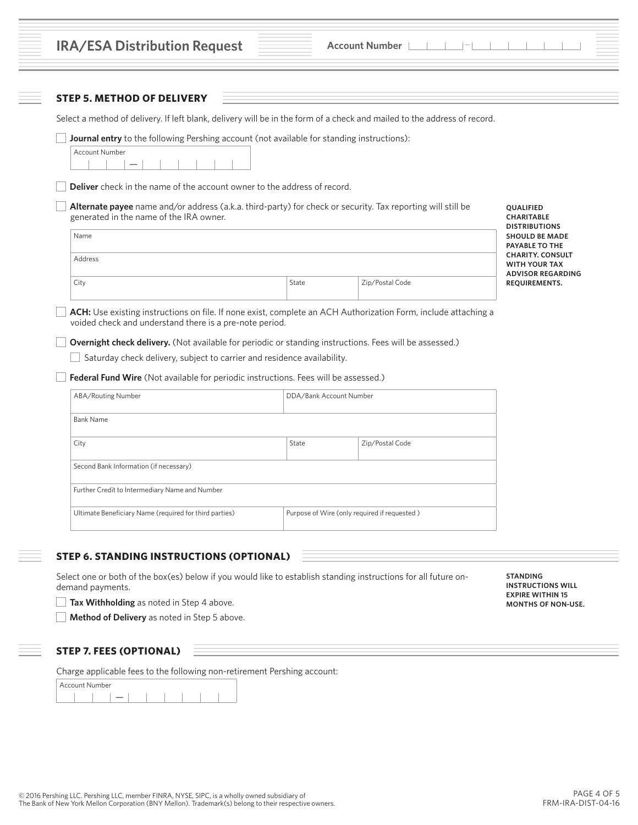| Select a method of delivery. If left blank, delivery will be in the form of a check and mailed to the address of record.                                                                                                                                                                                                             |                         |                                              |                                                                                                     |
|--------------------------------------------------------------------------------------------------------------------------------------------------------------------------------------------------------------------------------------------------------------------------------------------------------------------------------------|-------------------------|----------------------------------------------|-----------------------------------------------------------------------------------------------------|
| Journal entry to the following Pershing account (not available for standing instructions):                                                                                                                                                                                                                                           |                         |                                              |                                                                                                     |
| <b>Account Number</b>                                                                                                                                                                                                                                                                                                                |                         |                                              |                                                                                                     |
| Deliver check in the name of the account owner to the address of record.                                                                                                                                                                                                                                                             |                         |                                              |                                                                                                     |
| Alternate payee name and/or address (a.k.a. third-party) for check or security. Tax reporting will still be<br>generated in the name of the IRA owner.                                                                                                                                                                               |                         |                                              | QUALIFIED<br><b>CHARITABLE</b>                                                                      |
| Name                                                                                                                                                                                                                                                                                                                                 |                         |                                              | <b>DISTRIBUTIONS</b><br><b>SHOULD BE MADE</b><br><b>PAYABLE TO THE</b>                              |
| Address                                                                                                                                                                                                                                                                                                                              |                         |                                              | <b>CHARITY. CONSULT</b><br><b>WITH YOUR TAX</b>                                                     |
| City                                                                                                                                                                                                                                                                                                                                 | State                   | Zip/Postal Code                              | <b>ADVISOR REGARDING</b><br><b>REQUIREMENTS.</b>                                                    |
| ACH: Use existing instructions on file. If none exist, complete an ACH Authorization Form, include attaching a                                                                                                                                                                                                                       |                         |                                              |                                                                                                     |
| voided check and understand there is a pre-note period.<br>Overnight check delivery. (Not available for periodic or standing instructions. Fees will be assessed.)<br>Saturday check delivery, subject to carrier and residence availability.<br>Federal Fund Wire (Not available for periodic instructions. Fees will be assessed.) |                         |                                              |                                                                                                     |
| ABA/Routing Number                                                                                                                                                                                                                                                                                                                   | DDA/Bank Account Number |                                              |                                                                                                     |
| <b>Bank Name</b>                                                                                                                                                                                                                                                                                                                     |                         |                                              |                                                                                                     |
| City                                                                                                                                                                                                                                                                                                                                 | State                   | Zip/Postal Code                              |                                                                                                     |
| Second Bank Information (if necessary)                                                                                                                                                                                                                                                                                               |                         |                                              |                                                                                                     |
| Further Credit to Intermediary Name and Number                                                                                                                                                                                                                                                                                       |                         |                                              |                                                                                                     |
| Ultimate Beneficiary Name (required for third parties)                                                                                                                                                                                                                                                                               |                         | Purpose of Wire (only required if requested) |                                                                                                     |
| <b>STEP 6. STANDING INSTRUCTIONS (OPTIONAL)</b>                                                                                                                                                                                                                                                                                      |                         |                                              |                                                                                                     |
| Select one or both of the box(es) below if you would like to establish standing instructions for all future on-<br>demand payments.<br>Tax Withholding as noted in Step 4 above.                                                                                                                                                     |                         |                                              | <b>STANDING</b><br><b>INSTRUCTIONS WILL</b><br><b>EXPIRE WITHIN 15</b><br><b>MONTHS OF NON-USE.</b> |